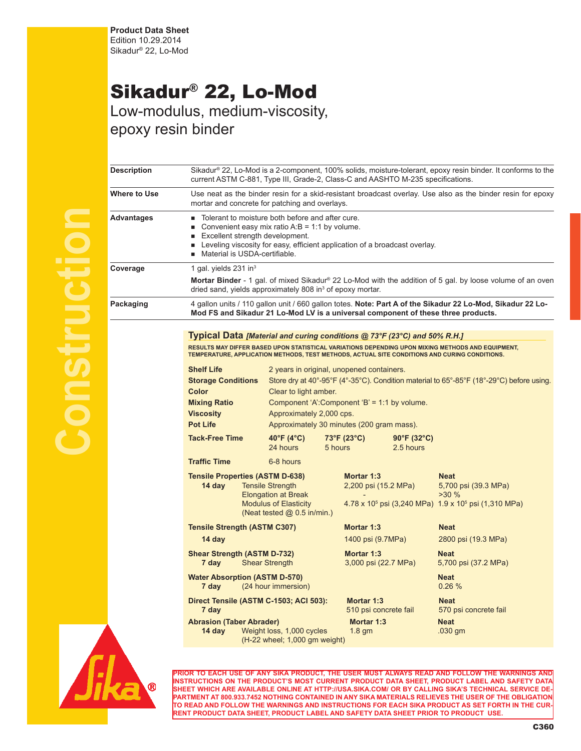## Sikadur® 22, Lo-Mod

Low-modulus, medium-viscosity, epoxy resin binder

| Sikadur® 22, Lo-Mod is a 2-component, 100% solids, moisture-tolerant, epoxy resin binder. It conforms to the<br><b>Description</b><br>current ASTM C-881, Type III, Grade-2, Class-C and AASHTO M-235 specifications.<br>Where to Use<br>mortar and concrete for patching and overlays.<br>■ Tolerant to moisture both before and after cure.<br>Convenient easy mix ratio $A:B = 1:1$ by volume.<br>٠<br>Excellent strength development.<br><b>Example 1</b> Leveling viscosity for easy, efficient application of a broadcast overlay.<br>Material is USDA-certifiable.<br>٠<br>1 gal. yields $231$ in <sup>3</sup><br>dried sand, yields approximately 808 in <sup>3</sup> of epoxy mortar.<br>Mod FS and Sikadur 21 Lo-Mod LV is a universal component of these three products.<br>Typical Data [Material and curing conditions @ 73°F (23°C) and 50% R.H.]<br>RESULTS MAY DIFFER BASED UPON STATISTICAL VARIATIONS DEPENDING UPON MIXING METHODS AND EQUIPMENT,<br>TEMPERATURE, APPLICATION METHODS, TEST METHODS, ACTUAL SITE CONDITIONS AND CURING CONDITIONS.<br><b>Shelf Life</b><br>2 years in original, unopened containers.<br>Store dry at 40°-95°F (4°-35°C). Condition material to 65°-85°F (18°-29°C) before using.<br><b>Storage Conditions</b><br>Color<br>Clear to light amber.<br>Component 'A':Component 'B' = 1:1 by volume.<br><b>Mixing Ratio</b><br><b>Viscosity</b><br>Approximately 2,000 cps.<br><b>Pot Life</b><br>Approximately 30 minutes (200 gram mass).<br>40°F (4 $^{\circ}$ C)<br>73°F (23°C)<br><b>Tack-Free Time</b><br>$90^{\circ}$ F (32 $^{\circ}$ C)<br>24 hours<br>5 hours<br>2.5 hours<br><b>Traffic Time</b><br>6-8 hours<br><b>Tensile Properties (ASTM D-638)</b><br>Mortar 1:3<br><b>Neat</b><br>14 day<br><b>Tensile Strength</b><br>2,200 psi (15.2 MPa)<br>5,700 psi (39.3 MPa)<br><b>Elongation at Break</b><br>>30%<br><b>Modulus of Elasticity</b><br>$4.78 \times 10^5$ psi (3,240 MPa) $1.9 \times 10^5$ psi (1,310 MPa)<br>(Neat tested $@$ 0.5 in/min.)<br><b>Tensile Strength (ASTM C307)</b><br>Mortar 1:3<br><b>Neat</b><br>14 day<br>1400 psi (9.7MPa)<br>2800 psi (19.3 MPa)<br><b>Shear Strength (ASTM D-732)</b><br>Mortar 1:3<br><b>Neat</b><br><b>Shear Strength</b><br>7 day<br>3,000 psi (22.7 MPa)<br>5,700 psi (37.2 MPa)<br><b>Water Absorption (ASTM D-570)</b><br><b>Neat</b><br>(24 hour immersion)<br>0.26%<br>7 day<br>Direct Tensile (ASTM C-1503; ACI 503):<br>Mortar 1:3<br><b>Neat</b><br>7 day<br>510 psi concrete fail<br>570 psi concrete fail<br><b>Abrasion (Taber Abrader)</b><br>Mortar 1:3<br><b>Neat</b> |            |                                                                                                             |  |  |  |  |  |  |
|----------------------------------------------------------------------------------------------------------------------------------------------------------------------------------------------------------------------------------------------------------------------------------------------------------------------------------------------------------------------------------------------------------------------------------------------------------------------------------------------------------------------------------------------------------------------------------------------------------------------------------------------------------------------------------------------------------------------------------------------------------------------------------------------------------------------------------------------------------------------------------------------------------------------------------------------------------------------------------------------------------------------------------------------------------------------------------------------------------------------------------------------------------------------------------------------------------------------------------------------------------------------------------------------------------------------------------------------------------------------------------------------------------------------------------------------------------------------------------------------------------------------------------------------------------------------------------------------------------------------------------------------------------------------------------------------------------------------------------------------------------------------------------------------------------------------------------------------------------------------------------------------------------------------------------------------------------------------------------------------------------------------------------------------------------------------------------------------------------------------------------------------------------------------------------------------------------------------------------------------------------------------------------------------------------------------------------------------------------------------------------------------------------------------------------------------------------------------------------------------------------------------------------------------------------------------------------------------------|------------|-------------------------------------------------------------------------------------------------------------|--|--|--|--|--|--|
|                                                                                                                                                                                                                                                                                                                                                                                                                                                                                                                                                                                                                                                                                                                                                                                                                                                                                                                                                                                                                                                                                                                                                                                                                                                                                                                                                                                                                                                                                                                                                                                                                                                                                                                                                                                                                                                                                                                                                                                                                                                                                                                                                                                                                                                                                                                                                                                                                                                                                                                                                                                                    |            |                                                                                                             |  |  |  |  |  |  |
|                                                                                                                                                                                                                                                                                                                                                                                                                                                                                                                                                                                                                                                                                                                                                                                                                                                                                                                                                                                                                                                                                                                                                                                                                                                                                                                                                                                                                                                                                                                                                                                                                                                                                                                                                                                                                                                                                                                                                                                                                                                                                                                                                                                                                                                                                                                                                                                                                                                                                                                                                                                                    |            | Use neat as the binder resin for a skid-resistant broadcast overlay. Use also as the binder resin for epoxy |  |  |  |  |  |  |
| Coverage<br>Packaging                                                                                                                                                                                                                                                                                                                                                                                                                                                                                                                                                                                                                                                                                                                                                                                                                                                                                                                                                                                                                                                                                                                                                                                                                                                                                                                                                                                                                                                                                                                                                                                                                                                                                                                                                                                                                                                                                                                                                                                                                                                                                                                                                                                                                                                                                                                                                                                                                                                                                                                                                                              | Advantages |                                                                                                             |  |  |  |  |  |  |
|                                                                                                                                                                                                                                                                                                                                                                                                                                                                                                                                                                                                                                                                                                                                                                                                                                                                                                                                                                                                                                                                                                                                                                                                                                                                                                                                                                                                                                                                                                                                                                                                                                                                                                                                                                                                                                                                                                                                                                                                                                                                                                                                                                                                                                                                                                                                                                                                                                                                                                                                                                                                    |            |                                                                                                             |  |  |  |  |  |  |
|                                                                                                                                                                                                                                                                                                                                                                                                                                                                                                                                                                                                                                                                                                                                                                                                                                                                                                                                                                                                                                                                                                                                                                                                                                                                                                                                                                                                                                                                                                                                                                                                                                                                                                                                                                                                                                                                                                                                                                                                                                                                                                                                                                                                                                                                                                                                                                                                                                                                                                                                                                                                    |            | Mortar Binder - 1 gal. of mixed Sikadur® 22 Lo-Mod with the addition of 5 gal. by loose volume of an oven   |  |  |  |  |  |  |
|                                                                                                                                                                                                                                                                                                                                                                                                                                                                                                                                                                                                                                                                                                                                                                                                                                                                                                                                                                                                                                                                                                                                                                                                                                                                                                                                                                                                                                                                                                                                                                                                                                                                                                                                                                                                                                                                                                                                                                                                                                                                                                                                                                                                                                                                                                                                                                                                                                                                                                                                                                                                    |            | 4 gallon units / 110 gallon unit / 660 gallon totes. Note: Part A of the Sikadur 22 Lo-Mod, Sikadur 22 Lo-  |  |  |  |  |  |  |
|                                                                                                                                                                                                                                                                                                                                                                                                                                                                                                                                                                                                                                                                                                                                                                                                                                                                                                                                                                                                                                                                                                                                                                                                                                                                                                                                                                                                                                                                                                                                                                                                                                                                                                                                                                                                                                                                                                                                                                                                                                                                                                                                                                                                                                                                                                                                                                                                                                                                                                                                                                                                    |            |                                                                                                             |  |  |  |  |  |  |
|                                                                                                                                                                                                                                                                                                                                                                                                                                                                                                                                                                                                                                                                                                                                                                                                                                                                                                                                                                                                                                                                                                                                                                                                                                                                                                                                                                                                                                                                                                                                                                                                                                                                                                                                                                                                                                                                                                                                                                                                                                                                                                                                                                                                                                                                                                                                                                                                                                                                                                                                                                                                    |            |                                                                                                             |  |  |  |  |  |  |
|                                                                                                                                                                                                                                                                                                                                                                                                                                                                                                                                                                                                                                                                                                                                                                                                                                                                                                                                                                                                                                                                                                                                                                                                                                                                                                                                                                                                                                                                                                                                                                                                                                                                                                                                                                                                                                                                                                                                                                                                                                                                                                                                                                                                                                                                                                                                                                                                                                                                                                                                                                                                    |            |                                                                                                             |  |  |  |  |  |  |
|                                                                                                                                                                                                                                                                                                                                                                                                                                                                                                                                                                                                                                                                                                                                                                                                                                                                                                                                                                                                                                                                                                                                                                                                                                                                                                                                                                                                                                                                                                                                                                                                                                                                                                                                                                                                                                                                                                                                                                                                                                                                                                                                                                                                                                                                                                                                                                                                                                                                                                                                                                                                    |            |                                                                                                             |  |  |  |  |  |  |
|                                                                                                                                                                                                                                                                                                                                                                                                                                                                                                                                                                                                                                                                                                                                                                                                                                                                                                                                                                                                                                                                                                                                                                                                                                                                                                                                                                                                                                                                                                                                                                                                                                                                                                                                                                                                                                                                                                                                                                                                                                                                                                                                                                                                                                                                                                                                                                                                                                                                                                                                                                                                    |            |                                                                                                             |  |  |  |  |  |  |
|                                                                                                                                                                                                                                                                                                                                                                                                                                                                                                                                                                                                                                                                                                                                                                                                                                                                                                                                                                                                                                                                                                                                                                                                                                                                                                                                                                                                                                                                                                                                                                                                                                                                                                                                                                                                                                                                                                                                                                                                                                                                                                                                                                                                                                                                                                                                                                                                                                                                                                                                                                                                    |            |                                                                                                             |  |  |  |  |  |  |
|                                                                                                                                                                                                                                                                                                                                                                                                                                                                                                                                                                                                                                                                                                                                                                                                                                                                                                                                                                                                                                                                                                                                                                                                                                                                                                                                                                                                                                                                                                                                                                                                                                                                                                                                                                                                                                                                                                                                                                                                                                                                                                                                                                                                                                                                                                                                                                                                                                                                                                                                                                                                    |            |                                                                                                             |  |  |  |  |  |  |
|                                                                                                                                                                                                                                                                                                                                                                                                                                                                                                                                                                                                                                                                                                                                                                                                                                                                                                                                                                                                                                                                                                                                                                                                                                                                                                                                                                                                                                                                                                                                                                                                                                                                                                                                                                                                                                                                                                                                                                                                                                                                                                                                                                                                                                                                                                                                                                                                                                                                                                                                                                                                    |            |                                                                                                             |  |  |  |  |  |  |
|                                                                                                                                                                                                                                                                                                                                                                                                                                                                                                                                                                                                                                                                                                                                                                                                                                                                                                                                                                                                                                                                                                                                                                                                                                                                                                                                                                                                                                                                                                                                                                                                                                                                                                                                                                                                                                                                                                                                                                                                                                                                                                                                                                                                                                                                                                                                                                                                                                                                                                                                                                                                    |            |                                                                                                             |  |  |  |  |  |  |
|                                                                                                                                                                                                                                                                                                                                                                                                                                                                                                                                                                                                                                                                                                                                                                                                                                                                                                                                                                                                                                                                                                                                                                                                                                                                                                                                                                                                                                                                                                                                                                                                                                                                                                                                                                                                                                                                                                                                                                                                                                                                                                                                                                                                                                                                                                                                                                                                                                                                                                                                                                                                    |            |                                                                                                             |  |  |  |  |  |  |
|                                                                                                                                                                                                                                                                                                                                                                                                                                                                                                                                                                                                                                                                                                                                                                                                                                                                                                                                                                                                                                                                                                                                                                                                                                                                                                                                                                                                                                                                                                                                                                                                                                                                                                                                                                                                                                                                                                                                                                                                                                                                                                                                                                                                                                                                                                                                                                                                                                                                                                                                                                                                    |            |                                                                                                             |  |  |  |  |  |  |
|                                                                                                                                                                                                                                                                                                                                                                                                                                                                                                                                                                                                                                                                                                                                                                                                                                                                                                                                                                                                                                                                                                                                                                                                                                                                                                                                                                                                                                                                                                                                                                                                                                                                                                                                                                                                                                                                                                                                                                                                                                                                                                                                                                                                                                                                                                                                                                                                                                                                                                                                                                                                    |            |                                                                                                             |  |  |  |  |  |  |
|                                                                                                                                                                                                                                                                                                                                                                                                                                                                                                                                                                                                                                                                                                                                                                                                                                                                                                                                                                                                                                                                                                                                                                                                                                                                                                                                                                                                                                                                                                                                                                                                                                                                                                                                                                                                                                                                                                                                                                                                                                                                                                                                                                                                                                                                                                                                                                                                                                                                                                                                                                                                    |            |                                                                                                             |  |  |  |  |  |  |
|                                                                                                                                                                                                                                                                                                                                                                                                                                                                                                                                                                                                                                                                                                                                                                                                                                                                                                                                                                                                                                                                                                                                                                                                                                                                                                                                                                                                                                                                                                                                                                                                                                                                                                                                                                                                                                                                                                                                                                                                                                                                                                                                                                                                                                                                                                                                                                                                                                                                                                                                                                                                    |            |                                                                                                             |  |  |  |  |  |  |
|                                                                                                                                                                                                                                                                                                                                                                                                                                                                                                                                                                                                                                                                                                                                                                                                                                                                                                                                                                                                                                                                                                                                                                                                                                                                                                                                                                                                                                                                                                                                                                                                                                                                                                                                                                                                                                                                                                                                                                                                                                                                                                                                                                                                                                                                                                                                                                                                                                                                                                                                                                                                    |            |                                                                                                             |  |  |  |  |  |  |
|                                                                                                                                                                                                                                                                                                                                                                                                                                                                                                                                                                                                                                                                                                                                                                                                                                                                                                                                                                                                                                                                                                                                                                                                                                                                                                                                                                                                                                                                                                                                                                                                                                                                                                                                                                                                                                                                                                                                                                                                                                                                                                                                                                                                                                                                                                                                                                                                                                                                                                                                                                                                    |            |                                                                                                             |  |  |  |  |  |  |
|                                                                                                                                                                                                                                                                                                                                                                                                                                                                                                                                                                                                                                                                                                                                                                                                                                                                                                                                                                                                                                                                                                                                                                                                                                                                                                                                                                                                                                                                                                                                                                                                                                                                                                                                                                                                                                                                                                                                                                                                                                                                                                                                                                                                                                                                                                                                                                                                                                                                                                                                                                                                    |            |                                                                                                             |  |  |  |  |  |  |
| Weight loss, 1,000 cycles<br>$14$ day<br>$1.8$ gm<br>$.030$ gm<br>(H-22 wheel; 1,000 gm weight)                                                                                                                                                                                                                                                                                                                                                                                                                                                                                                                                                                                                                                                                                                                                                                                                                                                                                                                                                                                                                                                                                                                                                                                                                                                                                                                                                                                                                                                                                                                                                                                                                                                                                                                                                                                                                                                                                                                                                                                                                                                                                                                                                                                                                                                                                                                                                                                                                                                                                                    |            |                                                                                                             |  |  |  |  |  |  |



**Construction**

**PRIOR TO EACH USE OF ANY SIKA PRODUCT, THE USER MUST ALWAYS READ AND FOLLOW THE WARNINGS AND INSTRUCTIONS ON THE PRODUCT'S MOST CURRENT PRODUCT DATA SHEET, PRODUCT LABEL AND SAFETY DATA SHEET WHICH ARE AVAILABLE ONLINE AT HTTP://USA.SIKA.COM/ OR BY CALLING SIKA'S TECHNICAL SERVICE DE-PARTMENT AT 800.933.7452 NOTHING CONTAINED IN ANY SIKA MATERIALS RELIEVES THE USER OF THE OBLIGATION TO READ AND FOLLOW THE WARNINGS AND INSTRUCTIONS FOR EACH SIKA PRODUCT AS SET FORTH IN THE CUR-RENT PRODUCT DATA SHEET, PRODUCT LABEL AND SAFETY DATA SHEET PRIOR TO PRODUCT USE.**

C360